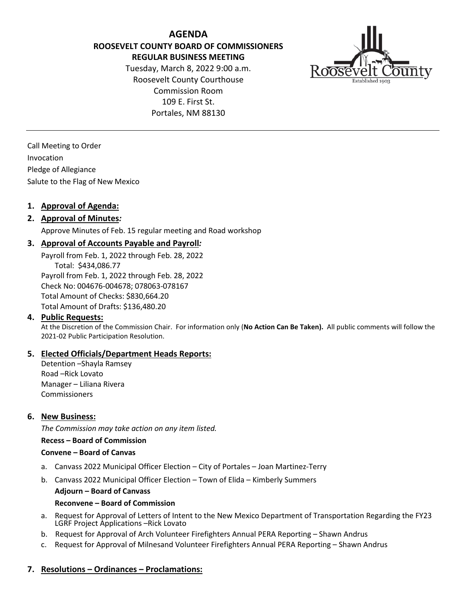**AGENDA ROOSEVELT COUNTY BOARD OF COMMISSIONERS REGULAR BUSINESS MEETING** Tuesday, March 8, 2022 9:00 a.m.

Roosevelt County Courthouse Commission Room 109 E. First St. Portales, NM 88130



Call Meeting to Order Invocation Pledge of Allegiance Salute to the Flag of New Mexico

## **1. Approval of Agenda:**

# **2. Approval of Minutes***:*

Approve Minutes of Feb. 15 regular meeting and Road workshop

## **3. Approval of Accounts Payable and Payroll***:*

Payroll from Feb. 1, 2022 through Feb. 28, 2022 Total: \$434,086.77 Payroll from Feb. 1, 2022 through Feb. 28, 2022 Check No: 004676-004678; 078063-078167 Total Amount of Checks: \$830,664.20 Total Amount of Drafts: \$136,480.20

## **4. Public Requests:**

At the Discretion of the Commission Chair. For information only (**No Action Can Be Taken).** All public comments will follow the 2021-02 Public Participation Resolution.

## **5. Elected Officials/Department Heads Reports:**

Detention –Shayla Ramsey Road –Rick Lovato Manager – Liliana Rivera Commissioners

#### **6. New Business:**

*The Commission may take action on any item listed.*

#### **Recess – Board of Commission**

#### **Convene – Board of Canvas**

- a. Canvass 2022 Municipal Officer Election City of Portales Joan Martinez-Terry
- b. Canvass 2022 Municipal Officer Election Town of Elida Kimberly Summers

#### **Adjourn – Board of Canvass**

#### **Reconvene – Board of Commission**

- a. Request for Approval of Letters of Intent to the New Mexico Department of Transportation Regarding the FY23 LGRF Project Applications –Rick Lovato
- b. Request for Approval of Arch Volunteer Firefighters Annual PERA Reporting Shawn Andrus
- c. Request for Approval of Milnesand Volunteer Firefighters Annual PERA Reporting Shawn Andrus

## **7. Resolutions – Ordinances – Proclamations:**